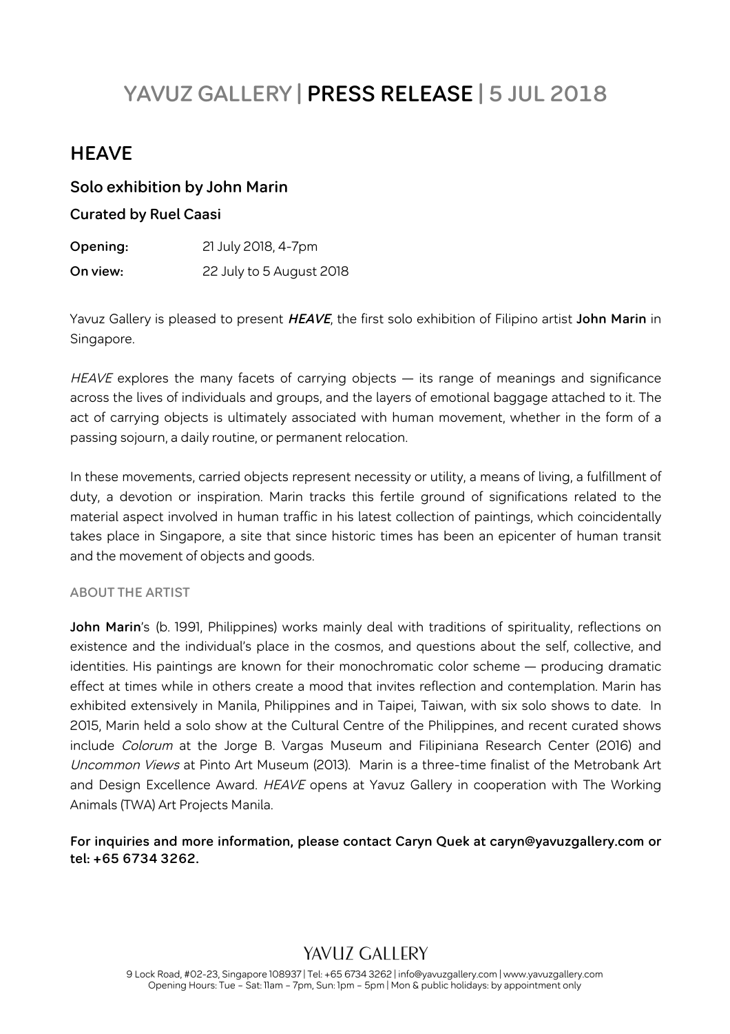# **YAVUZ GALLERY | PRESS RELEASE | 5 JUL 2018**

# **HEAVE**

#### **Solo exhibition by John Marin**

#### **Curated by Ruel Caasi**

**Opening:** 21 July 2018, 4-7pm **On view:** 22 July to 5 August 2018

Yavuz Gallery is pleased to present **HEAVE**, the first solo exhibition of Filipino artist **John Marin** in Singapore.

HEAVE explores the many facets of carrying objects – its range of meanings and significance across the lives of individuals and groups, and the layers of emotional baggage attached to it. The act of carrying objects is ultimately associated with human movement, whether in the form of a passing sojourn, a daily routine, or permanent relocation.

In these movements, carried objects represent necessity or utility, a means of living, a fulfillment of duty, a devotion or inspiration. Marin tracks this fertile ground of significations related to the material aspect involved in human traffic in his latest collection of paintings, which coincidentally takes place in Singapore, a site that since historic times has been an epicenter of human transit and the movement of objects and goods.

#### **ABOUT THE ARTIST**

**John Marin**'s (b. 1991, Philippines) works mainly deal with traditions of spirituality, reflections on existence and the individual's place in the cosmos, and questions about the self, collective, and identities. His paintings are known for their monochromatic color scheme — producing dramatic effect at times while in others create a mood that invites reflection and contemplation. Marin has exhibited extensively in Manila, Philippines and in Taipei, Taiwan, with six solo shows to date. In 2015, Marin held a solo show at the Cultural Centre of the Philippines, and recent curated shows include Colorum at the Jorge B. Vargas Museum and Filipiniana Research Center (2016) and Uncommon Views at Pinto Art Museum (2013). Marin is a three-time finalist of the Metrobank Art and Design Excellence Award. HEAVE opens at Yavuz Gallery in cooperation with The Working Animals (TWA) Art Projects Manila.

#### **For inquiries and more information, please contact Caryn Quek at caryn@yavuzgallery.com or tel: +65 6734 3262.**

# YAVIIZ GALLERY